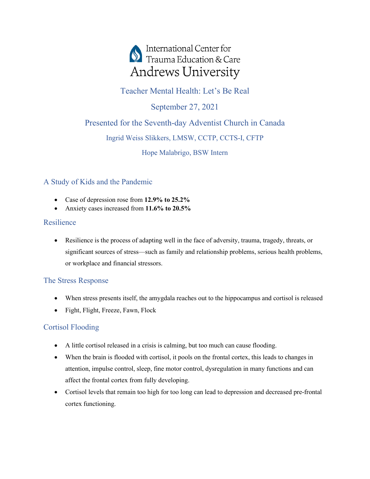

# Teacher Mental Health: Let's Be Real

September 27, 2021

# Presented for the Seventh-day Adventist Church in Canada

## Ingrid Weiss Slikkers, LMSW, CCTP, CCTS-I, CFTP

Hope Malabrigo, BSW Intern

## A Study of Kids and the Pandemic

- Case of depression rose from **12.9% to 25.2%**
- Anxiety cases increased from **11.6% to 20.5%**

## Resilience

• Resilience is the process of adapting well in the face of adversity, trauma, tragedy, threats, or significant sources of stress—such as family and relationship problems, serious health problems, or workplace and financial stressors.

# The Stress Response

- When stress presents itself, the amygdala reaches out to the hippocampus and cortisol is released
- Fight, Flight, Freeze, Fawn, Flock

# Cortisol Flooding

- A little cortisol released in a crisis is calming, but too much can cause flooding.
- When the brain is flooded with cortisol, it pools on the frontal cortex, this leads to changes in attention, impulse control, sleep, fine motor control, dysregulation in many functions and can affect the frontal cortex from fully developing.
- Cortisol levels that remain too high for too long can lead to depression and decreased pre-frontal cortex functioning.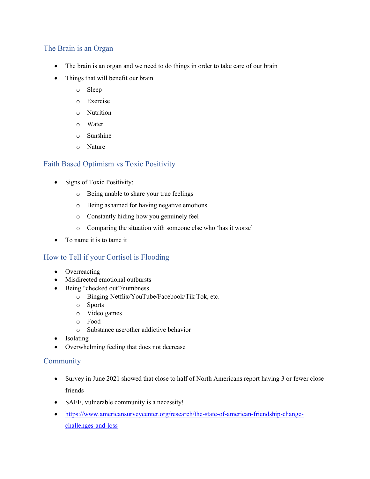### The Brain is an Organ

- The brain is an organ and we need to do things in order to take care of our brain
- Things that will benefit our brain
	- o Sleep
	- o Exercise
	- o Nutrition
	- o Water
	- o Sunshine
	- o Nature

### Faith Based Optimism vs Toxic Positivity

- Signs of Toxic Positivity:
	- o Being unable to share your true feelings
	- o Being ashamed for having negative emotions
	- o Constantly hiding how you genuinely feel
	- o Comparing the situation with someone else who 'has it worse'
- To name it is to tame it

### How to Tell if your Cortisol is Flooding

- Overreacting
- Misdirected emotional outbursts
- Being "checked out"/numbness
	- o Binging Netflix/YouTube/Facebook/Tik Tok, etc.
	- o Sports
	- o Video games
	- o Food
	- o Substance use/other addictive behavior
- Isolating
- Overwhelming feeling that does not decrease

#### **Community**

- Survey in June 2021 showed that close to half of North Americans report having 3 or fewer close friends
- SAFE, vulnerable community is a necessity!
- [https://www.americansurveycenter.org/research/the-state-of-american-friendship-change](https://www.americansurveycenter.org/research/the-state-of-american-friendship-change-challenges-and-loss)[challenges-and-loss](https://www.americansurveycenter.org/research/the-state-of-american-friendship-change-challenges-and-loss)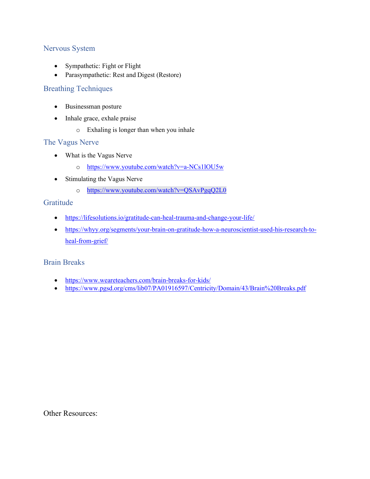### Nervous System

- Sympathetic: Fight or Flight
- Parasympathetic: Rest and Digest (Restore)

#### Breathing Techniques

- Businessman posture
- Inhale grace, exhale praise
	- o Exhaling is longer than when you inhale

### The Vagus Nerve

- What is the Vagus Nerve
	- o <https://www.youtube.com/watch?v=a-NCs1lOU5w>
- Stimulating the Vagus Nerve
	- o <https://www.youtube.com/watch?v=QSAvPgqQ2L0>

#### Gratitude

- <https://lifesolutions.io/gratitude-can-heal-trauma-and-change-your-life/>
- [https://whyy.org/segments/your-brain-on-gratitude-how-a-neuroscientist-used-his-research-to](https://whyy.org/segments/your-brain-on-gratitude-how-a-neuroscientist-used-his-research-to-heal-from-grief/)[heal-from-grief/](https://whyy.org/segments/your-brain-on-gratitude-how-a-neuroscientist-used-his-research-to-heal-from-grief/)

#### Brain Breaks

- <https://www.weareteachers.com/brain-breaks-for-kids/>
- <https://www.pgsd.org/cms/lib07/PA01916597/Centricity/Domain/43/Brain%20Breaks.pdf>

Other Resources: